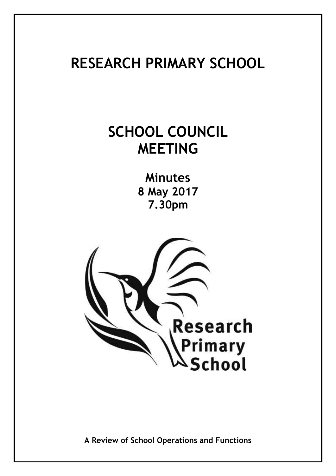# **RESEARCH PRIMARY SCHOOL**

# **SCHOOL COUNCIL MEETING**

**Minutes 8 May 2017 7.30pm**



**A Review of School Operations and Functions**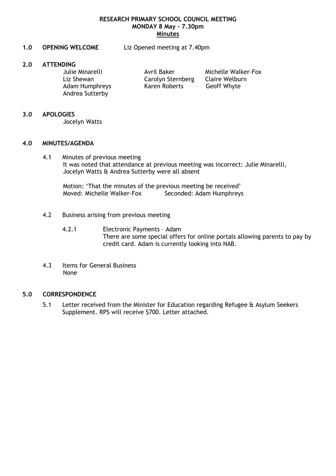#### **RESEARCH PRIMARY SCHOOL COUNCIL MEETING MONDAY 8 May – 7.30pm Minutes**

**1.0 OPENING WELCOME** Liz Opened meeting at 7.40pm

#### **2.0 ATTENDING**

Liz Shewan Carolyn Sternberg Claire Welburn Adam Humphreys Karen Roberts Geoff Whyte Andrea Sutterby

Julie Minarelli **Avril Baker** Michelle Walker-Fox

#### **3.0 APOLOGIES**

Jocelyn Watts

#### **4.0 MINUTES/AGENDA**

4.1 Minutes of previous meeting It was noted that attendance at previous meeting was incorrect: Julie Minarelli, Jocelyn Watts & Andrea Sutterby were all absent

Motion: 'That the minutes of the previous meeting be received' Moved: Michelle Walker-Fox Seconded: Adam Humphreys

- 4.2 Business arising from previous meeting
	- 4.2.1 Electronic Payments Adam There are some special offers for online portals allowing parents to pay by credit card. Adam is currently looking into NAB.
- 4.3 Items for General Business None

### **5.0 CORRESPONDENCE**

5.1 Letter received from the Minister for Education regarding Refugee & Asylum Seekers Supplement. RPS will receive \$700. Letter attached.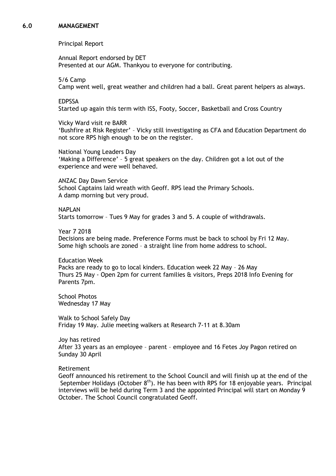#### **6.0 MANAGEMENT**

Principal Report

Annual Report endorsed by DET Presented at our AGM. Thankyou to everyone for contributing.

5/6 Camp Camp went well, great weather and children had a ball. Great parent helpers as always.

EDPSSA

Started up again this term with ISS, Footy, Soccer, Basketball and Cross Country

Vicky Ward visit re BARR

'Bushfire at Risk Register' – Vicky still investigating as CFA and Education Department do not score RPS high enough to be on the register.

National Young Leaders Day 'Making a Difference' – 5 great speakers on the day. Children got a lot out of the experience and were well behaved.

ANZAC Day Dawn Service School Captains laid wreath with Geoff. RPS lead the Primary Schools. A damp morning but very proud.

**NAPI AN** Starts tomorrow – Tues 9 May for grades 3 and 5. A couple of withdrawals.

Year 7 2018 Decisions are being made. Preference Forms must be back to school by Fri 12 May. Some high schools are zoned – a straight line from home address to school.

Education Week Packs are ready to go to local kinders. Education week 22 May – 26 May Thurs 25 May - Open 2pm for current families & visitors, Preps 2018 Info Evening for Parents 7pm.

School Photos Wednesday 17 May

Walk to School Safely Day Friday 19 May. Julie meeting walkers at Research 7-11 at 8.30am

Joy has retired After 33 years as an employee – parent – employee and 16 Fetes Joy Pagon retired on Sunday 30 April

Retirement

Geoff announced his retirement to the School Council and will finish up at the end of the September Holidays (October  $8<sup>th</sup>$ ). He has been with RPS for 18 enjoyable years. Principal interviews will be held during Term 3 and the appointed Principal will start on Monday 9 October. The School Council congratulated Geoff.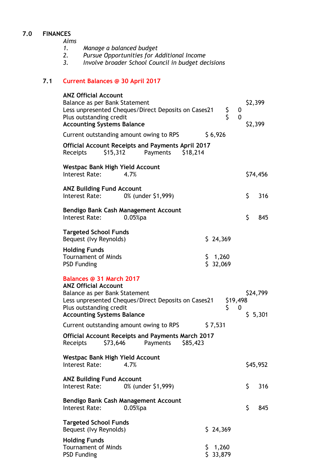# **7.0 FINANCES**

*Aims* 

- *1. Manage a balanced budget*
- *2. Pursue Opportunities for Additional Income*
- *3. Involve broader School Council in budget decisions*

# **7.1 Current Balances @ 30 April 2017**

| <b>ANZ Official Account</b><br>Balance as per Bank Statement                                                                                             | Less unpresented Cheques/Direct Deposits on Cases21                              |    |                   | \$<br>S        | 0  | \$2,399             |          |  |
|----------------------------------------------------------------------------------------------------------------------------------------------------------|----------------------------------------------------------------------------------|----|-------------------|----------------|----|---------------------|----------|--|
| Plus outstanding credit<br>0<br><b>Accounting Systems Balance</b>                                                                                        |                                                                                  |    |                   |                |    | \$2,399             |          |  |
|                                                                                                                                                          | Current outstanding amount owing to RPS                                          |    | \$6,926           |                |    |                     |          |  |
| \$15,312<br>Receipts                                                                                                                                     | <b>Official Account Receipts and Payments April 2017</b><br>Payments<br>\$18,214 |    |                   |                |    |                     |          |  |
| <b>Westpac Bank High Yield Account</b><br>Interest Rate:                                                                                                 | 4.7%                                                                             |    |                   |                |    |                     | \$74,456 |  |
| <b>ANZ Building Fund Account</b>                                                                                                                         |                                                                                  |    |                   |                |    |                     |          |  |
| Interest Rate:                                                                                                                                           | 0% (under \$1,999)                                                               |    |                   |                | \$ |                     | 316      |  |
| Interest Rate:                                                                                                                                           | Bendigo Bank Cash Management Account<br>$0.05%$ pa                               |    |                   |                | \$ |                     | 845      |  |
| <b>Targeted School Funds</b><br>Bequest (Ivy Reynolds)                                                                                                   |                                                                                  |    | \$24,369          |                |    |                     |          |  |
| <b>Holding Funds</b><br><b>Tournament of Minds</b><br><b>PSD Funding</b>                                                                                 |                                                                                  | Ş. | 1,260<br>\$32,069 |                |    |                     |          |  |
| Balances @ 31 March 2017<br><b>ANZ Official Account</b><br>Balance as per Bank Statement<br>Plus outstanding credit<br><b>Accounting Systems Balance</b> | Less unpresented Cheques/Direct Deposits on Cases21                              |    |                   | \$19,498<br>\$ | 0  | \$24,799<br>\$5,301 |          |  |
| Current outstanding amount owing to RPS                                                                                                                  |                                                                                  |    | \$7,531           |                |    |                     |          |  |
| \$73,646<br>Receipts                                                                                                                                     | <b>Official Account Receipts and Payments March 2017</b><br>\$85,423<br>Payments |    |                   |                |    |                     |          |  |
| <b>Westpac Bank High Yield Account</b><br>Interest Rate:                                                                                                 | 4.7%                                                                             |    |                   |                |    |                     | \$45,952 |  |
| <b>ANZ Building Fund Account</b><br>Interest Rate:                                                                                                       | 0% (under \$1,999)                                                               |    |                   |                | \$ |                     | 316      |  |
| Interest Rate:                                                                                                                                           | Bendigo Bank Cash Management Account<br>$0.05%$ pa                               |    |                   |                | \$ |                     | 845      |  |
| <b>Targeted School Funds</b><br>Bequest (Ivy Reynolds)                                                                                                   |                                                                                  |    | \$24,369          |                |    |                     |          |  |
| <b>Holding Funds</b><br><b>Tournament of Minds</b><br><b>PSD Funding</b>                                                                                 |                                                                                  |    | 1,260<br>\$33,879 |                |    |                     |          |  |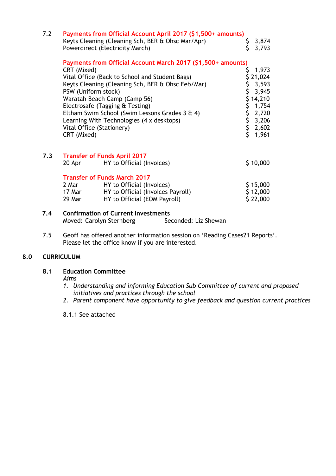| 7.2 |                                                   | Payments from Official Account April 2017 (\$1,500+ amounts)<br>Keyts Cleaning (Cleaning Sch, BER & Ohsc Mar/Apr)<br>Powerdirect (Electricity March)                                                                                                                                                                                                               | \$.      | 3,874<br>3,793                                                                                                                                            |
|-----|---------------------------------------------------|--------------------------------------------------------------------------------------------------------------------------------------------------------------------------------------------------------------------------------------------------------------------------------------------------------------------------------------------------------------------|----------|-----------------------------------------------------------------------------------------------------------------------------------------------------------|
|     | CRT (Mixed)<br>PSW (Uniform stock)<br>CRT (Mixed) | Payments from Official Account March 2017 (\$1,500+ amounts)<br>Vital Office (Back to School and Student Bags)<br>Keyts Cleaning (Cleaning Sch, BER & Ohsc Feb/Mar)<br>Waratah Beach Camp (Camp 56)<br>Electrosafe (Tagging & Testing)<br>Eltham Swim School (Swim Lessons Grades 3 & 4)<br>Learning With Technologies (4 x desktops)<br>Vital Office (Stationery) | \$<br>\$ | 1,973<br>\$21,024<br>\$3,593<br>3,945<br>\$14,210<br>\$1,754<br>$\begin{array}{cc} 5 & 2,720 \\ 5 & 3,206 \\ 5 & 2,602 \\ 5 & 1,961 \end{array}$<br>1,961 |
| 7.3 | 20 Apr                                            | <b>Transfer of Funds April 2017</b><br>HY to Official (Invoices)                                                                                                                                                                                                                                                                                                   |          | \$10,000                                                                                                                                                  |
| 7.4 | 2 Mar<br>17 Mar<br>29 Mar                         | <b>Transfer of Funds March 2017</b><br>HY to Official (Invoices)<br>HY to Official (Invoices Payroll)<br>HY to Official (EOM Payroll)<br><b>Confirmation of Current Investments</b>                                                                                                                                                                                |          | \$15,000<br>\$12,000<br>\$22,000                                                                                                                          |

7.5 Geoff has offered another information session on 'Reading Cases21 Reports'. Please let the office know if you are interested.

Moved: Carolyn Sternberg Seconded: Liz Shewan

#### **8.0 CURRICULUM**

### **8.1 Education Committee**

#### *Aims*

- *1. Understanding and informing Education Sub Committee of current and proposed initiatives and practices through the school*
- *2. Parent component have opportunity to give feedback and question current practices*
- 8.1.1 See attached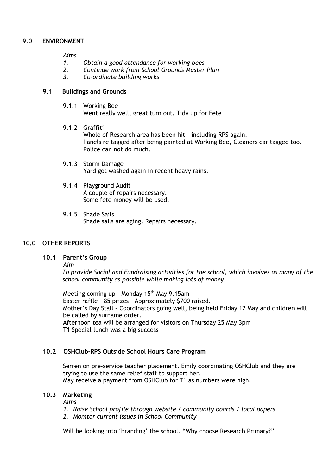#### **9.0 ENVIRONMENT**

*Aims*

- *1. Obtain a good attendance for working bees*
- *2. Continue work from School Grounds Master Plan*
- *3. Co-ordinate building works*

#### **9.1 Buildings and Grounds**

- 9.1.1 Working Bee Went really well, great turn out. Tidy up for Fete
- 9.1.2 Graffiti Whole of Research area has been hit – including RPS again. Panels re tagged after being painted at Working Bee, Cleaners car tagged too. Police can not do much.
- 9.1.3 Storm Damage Yard got washed again in recent heavy rains.

#### 9.1.4 Playground Audit A couple of repairs necessary. Some fete money will be used.

9.1.5 Shade Sails Shade sails are aging. Repairs necessary.

### **10.0 OTHER REPORTS**

#### **10.1 Parent's Group**

*Aim*

*To provide Social and Fundraising activities for the school, which involves as many of the school community as possible while making lots of money.*

Meeting coming up - Monday  $15<sup>th</sup>$  May 9.15am Easter raffle – 85 prizes – Approximately \$700 raised. Mother's Day Stall – Coordinators going well, being held Friday 12 May and children will be called by surname order. Afternoon tea will be arranged for visitors on Thursday 25 May 3pm T1 Special lunch was a big success

### **10.2 OSHClub-RPS Outside School Hours Care Program**

Serren on pre-service teacher placement. Emily coordinating OSHClub and they are trying to use the same relief staff to support her. May receive a payment from OSHClub for T1 as numbers were high.

#### **10.3 Marketing**

*Aims*

- *1. Raise School profile through website / community boards / local papers*
- *2. Monitor current issues in School Community*

Will be looking into 'branding' the school. "Why choose Research Primary?"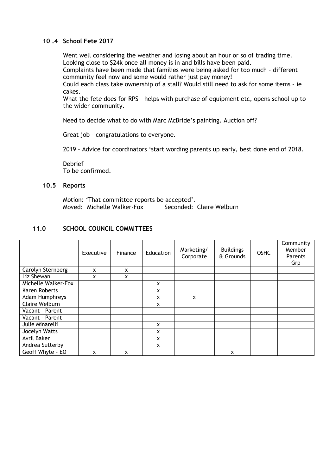### **10 .4 School Fete 2017**

Went well considering the weather and losing about an hour or so of trading time. Looking close to \$24k once all money is in and bills have been paid.

Complaints have been made that families were being asked for too much – different community feel now and some would rather just pay money!

Could each class take ownership of a stall? Would still need to ask for some items – ie cakes.

What the fete does for RPS – helps with purchase of equipment etc, opens school up to the wider community.

Need to decide what to do with Marc McBride's painting. Auction off?

Great job – congratulations to everyone.

2019 – Advice for coordinators 'start wording parents up early, best done end of 2018.

Debrief To be confirmed.

#### **10.5 Reports**

Motion: 'That committee reports be accepted'. Moved: Michelle Walker-Fox Seconded: Claire Welburn

#### **11.0 SCHOOL COUNCIL COMMITTEES**

|                       | Executive | Finance | Education | Marketing/<br>Corporate | <b>Buildings</b><br>& Grounds | <b>OSHC</b> | Community<br>Member<br>Parents<br>Grp |
|-----------------------|-----------|---------|-----------|-------------------------|-------------------------------|-------------|---------------------------------------|
| Carolyn Sternberg     | X         | X       |           |                         |                               |             |                                       |
| Liz Shewan            | x         | x       |           |                         |                               |             |                                       |
| Michelle Walker-Fox   |           |         | x         |                         |                               |             |                                       |
| Karen Roberts         |           |         | x         |                         |                               |             |                                       |
| Adam Humphreys        |           |         | x         | X                       |                               |             |                                       |
| <b>Claire Welburn</b> |           |         | x         |                         |                               |             |                                       |
| Vacant - Parent       |           |         |           |                         |                               |             |                                       |
| Vacant - Parent       |           |         |           |                         |                               |             |                                       |
| Julie Minarelli       |           |         | X         |                         |                               |             |                                       |
| Jocelyn Watts         |           |         | x         |                         |                               |             |                                       |
| <b>Avril Baker</b>    |           |         | X         |                         |                               |             |                                       |
| Andrea Sutterby       |           |         | X         |                         |                               |             |                                       |
| Geoff Whyte - EO      | x         | x       |           |                         | X                             |             |                                       |